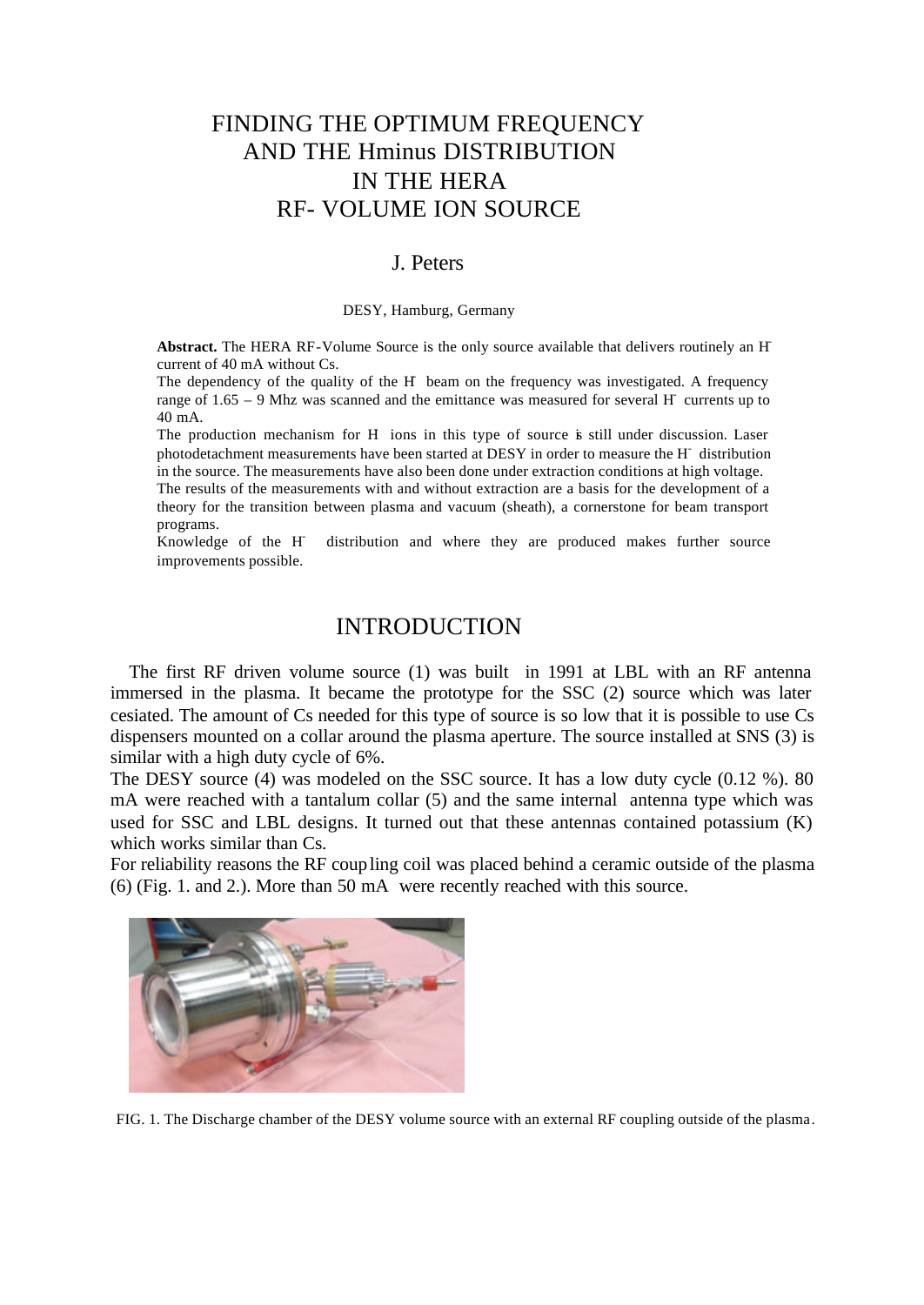# FINDING THE OPTIMUM FREQUENCY AND THE Hminus DISTRIBUTION IN THE HERA RF- VOLUME ION SOURCE

#### J. Peters

#### DESY, Hamburg, Germany

**Abstract.** The HERA RF-Volume Source is the only source available that delivers routinely an Hcurrent of 40 mA without Cs.

The dependency of the quality of the H- beam on the frequency was investigated. A frequency range of 1.65 – 9 Mhz was scanned and the emittance was measured for several H currents up to 40 mA.

The production mechanism for H ions in this type of source is still under discussion. Laser photodetachment measurements have been started at DESY in order to measure the H<sup>-</sup> distribution in the source. The measurements have also been done under extraction conditions at high voltage. The results of the measurements with and without extraction are a basis for the development of a theory for the transition between plasma and vacuum (sheath), a cornerstone for beam transport programs.

Knowledge of the H distribution and where they are produced makes further source improvements possible.

#### INTRODUCTION

The first RF driven volume source (1) was built in 1991 at LBL with an RF antenna immersed in the plasma. It became the prototype for the SSC (2) source which was later cesiated. The amount of Cs needed for this type of source is so low that it is possible to use Cs dispensers mounted on a collar around the plasma aperture. The source installed at SNS (3) is similar with a high duty cycle of 6%.

The DESY source (4) was modeled on the SSC source. It has a low duty cycle (0.12 %). 80 mA were reached with a tantalum collar (5) and the same internal antenna type which was used for SSC and LBL designs. It turned out that these antennas contained potassium (K) which works similar than Cs.

For reliability reasons the RF coupling coil was placed behind a ceramic outside of the plasma (6) (Fig. 1. and 2.). More than 50 mA were recently reached with this source.



FIG. 1. The Discharge chamber of the DESY volume source with an external RF coupling outside of the plasma.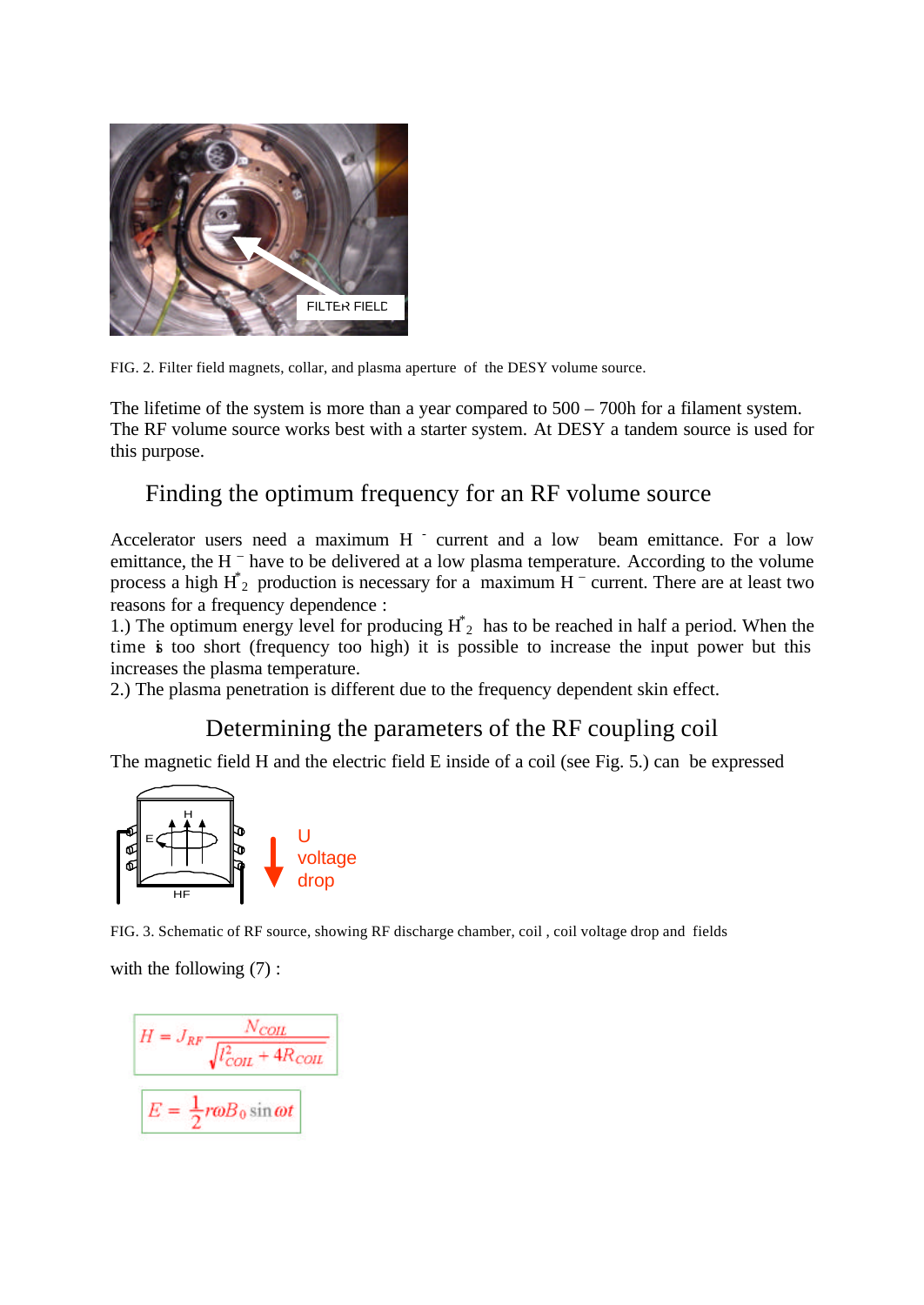

FIG. 2. Filter field magnets, collar, and plasma aperture of the DESY volume source.

The lifetime of the system is more than a year compared to  $500 - 700$  for a filament system. The RF volume source works best with a starter system. At DESY a tandem source is used for this purpose.

# Finding the optimum frequency for an RF volume source

Accelerator users need a maximum  $H^{-}$  current and a low beam emittance. For a low emittance, the H  $^{-}$  have to be delivered at a low plasma temperature. According to the volume process a high  $H^*$ <sub>2</sub> production is necessary for a maximum  $H^-$  current. There are at least two reasons for a frequency dependence :

1.) The optimum energy level for producing  $H^*_{2}$  has to be reached in half a period. When the time is too short (frequency too high) it is possible to increase the input power but this increases the plasma temperature.

2.) The plasma penetration is different due to the frequency dependent skin effect.

# Determining the parameters of the RF coupling coil

The magnetic field H and the electric field E inside of a coil (see Fig. 5.) can be expressed



FIG. 3. Schematic of RF source, showing RF discharge chamber, coil , coil voltage drop and fields

with the following  $(7)$ :

$$
H = J_{RF} \frac{N_{COL}}{\sqrt{l_{COL}^2 + 4R_{COL}}}
$$

$$
E = \frac{1}{2} r \omega B_0 \sin \omega t
$$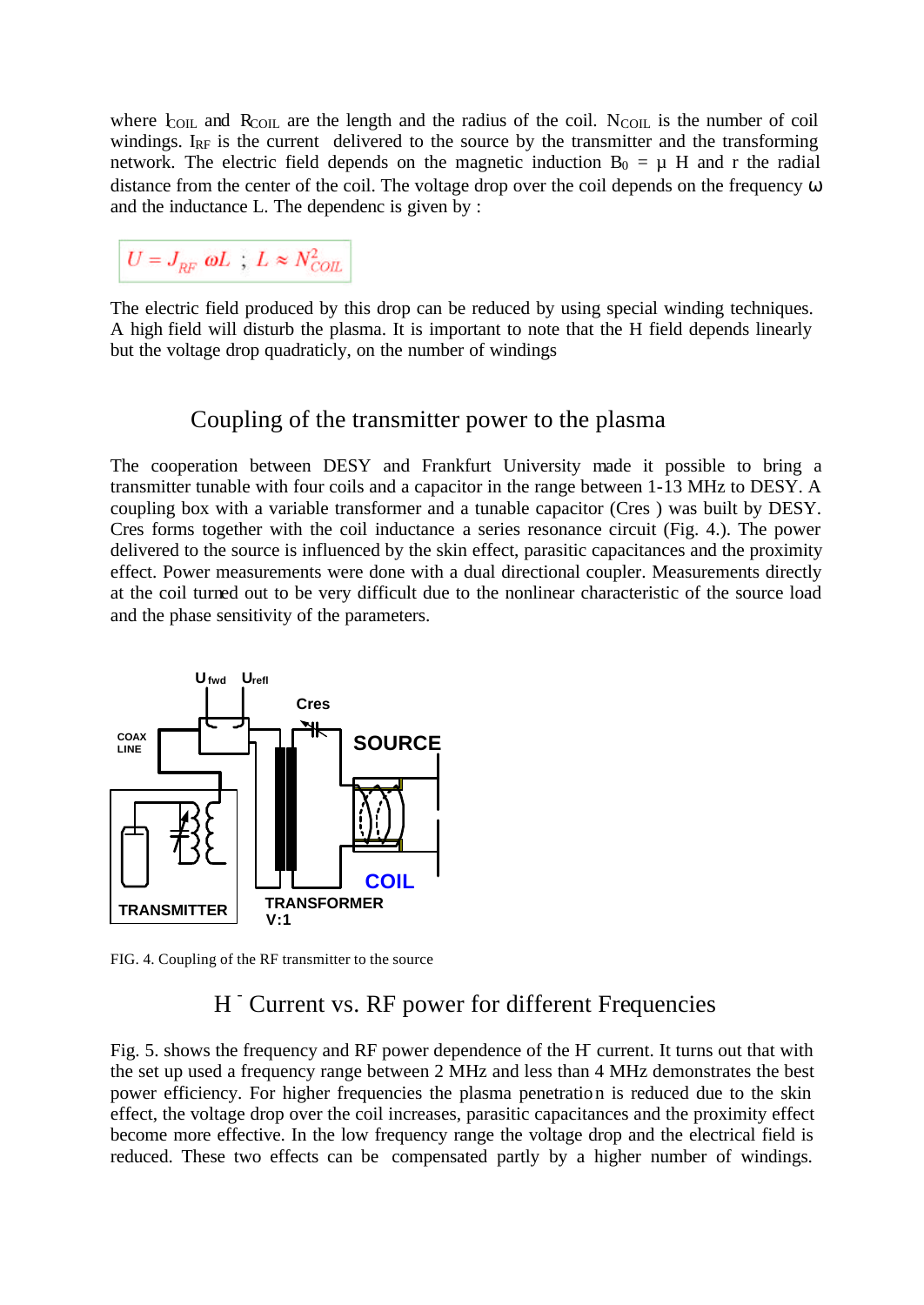where  $\text{E}_{\text{OL}}$  and  $\text{R}_{\text{COL}}$  are the length and the radius of the coil. N<sub>COIL</sub> is the number of coil windings.  $I_{RF}$  is the current delivered to the source by the transmitter and the transforming network. The electric field depends on the magnetic induction  $B_0 = \mu$  H and r the radial distance from the center of the coil. The voltage drop over the coil depends on the frequency ω and the inductance L. The dependenc is given by :

 $U = J_{RF}$   $\omega L$ ;  $L \approx N_{COL}^2$ 

The electric field produced by this drop can be reduced by using special winding techniques. A high field will disturb the plasma. It is important to note that the H field depends linearly but the voltage drop quadraticly, on the number of windings

# Coupling of the transmitter power to the plasma

The cooperation between DESY and Frankfurt University made it possible to bring a transmitter tunable with four coils and a capacitor in the range between 1-13 MHz to DESY. A coupling box with a variable transformer and a tunable capacitor (Cres ) was built by DESY. Cres forms together with the coil inductance a series resonance circuit (Fig. 4.). The power delivered to the source is influenced by the skin effect, parasitic capacitances and the proximity effect. Power measurements were done with a dual directional coupler. Measurements directly at the coil turned out to be very difficult due to the nonlinear characteristic of the source load and the phase sensitivity of the parameters.



FIG. 4. Coupling of the RF transmitter to the source

# H <sup>-</sup> Current vs. RF power for different Frequencies

Fig. 5. shows the frequency and RF power dependence of the H current. It turns out that with the set up used a frequency range between 2 MHz and less than 4 MHz demonstrates the best power efficiency. For higher frequencies the plasma penetration is reduced due to the skin effect, the voltage drop over the coil increases, parasitic capacitances and the proximity effect become more effective. In the low frequency range the voltage drop and the electrical field is reduced. These two effects can be compensated partly by a higher number of windings.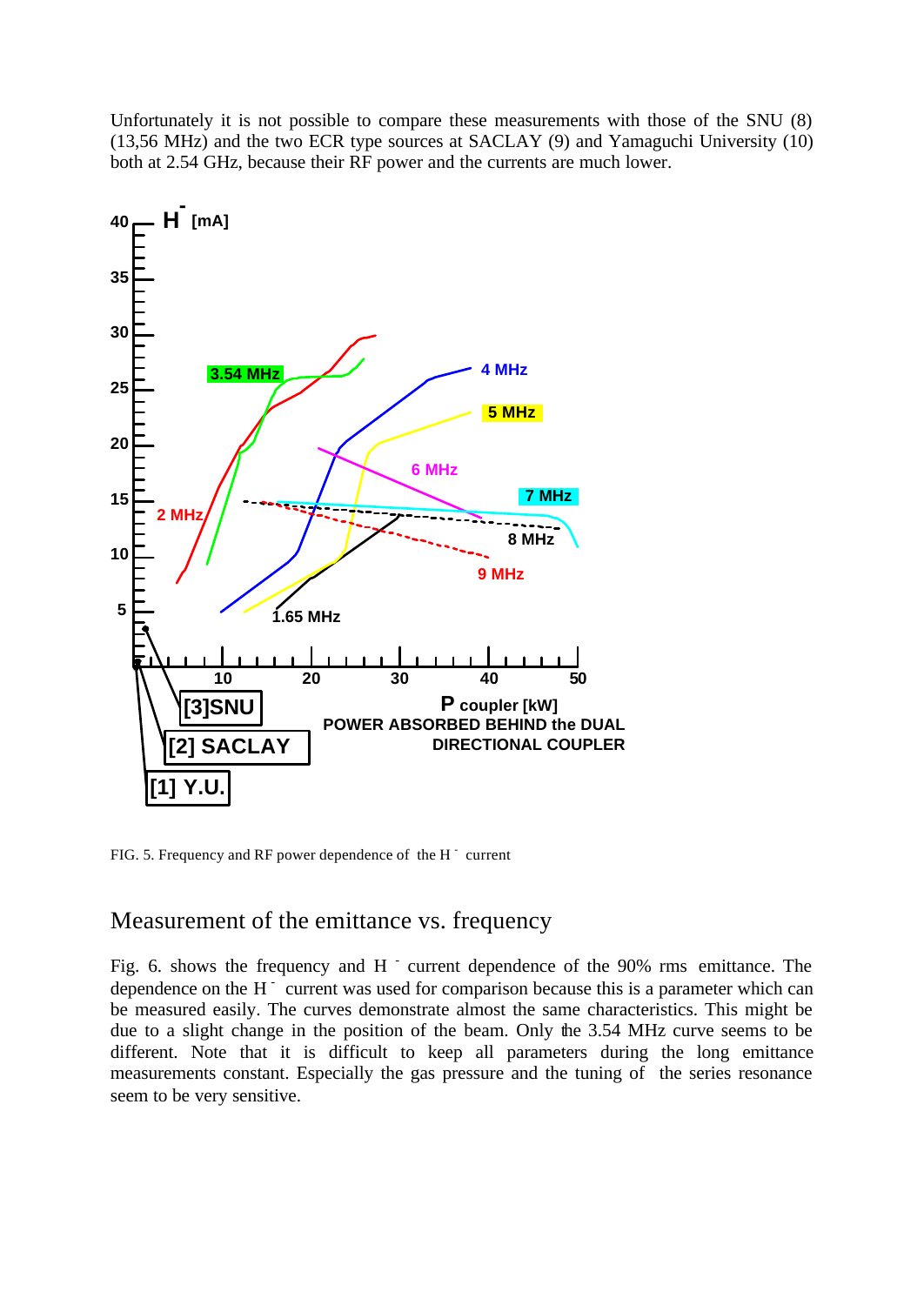Unfortunately it is not possible to compare these measurements with those of the SNU (8) (13,56 MHz) and the two ECR type sources at SACLAY (9) and Yamaguchi University (10) both at 2.54 GHz, because their RF power and the currents are much lower.



FIG. 5. Frequency and RF power dependence of the  $H^{-}$  current

### Measurement of the emittance vs. frequency

Fig. 6. shows the frequency and H  $\overline{ }$  current dependence of the 90% rms emittance. The dependence on the  $H^{-}$  current was used for comparison because this is a parameter which can be measured easily. The curves demonstrate almost the same characteristics. This might be due to a slight change in the position of the beam. Only the 3.54 MHz curve seems to be different. Note that it is difficult to keep all parameters during the long emittance measurements constant. Especially the gas pressure and the tuning of the series resonance seem to be very sensitive.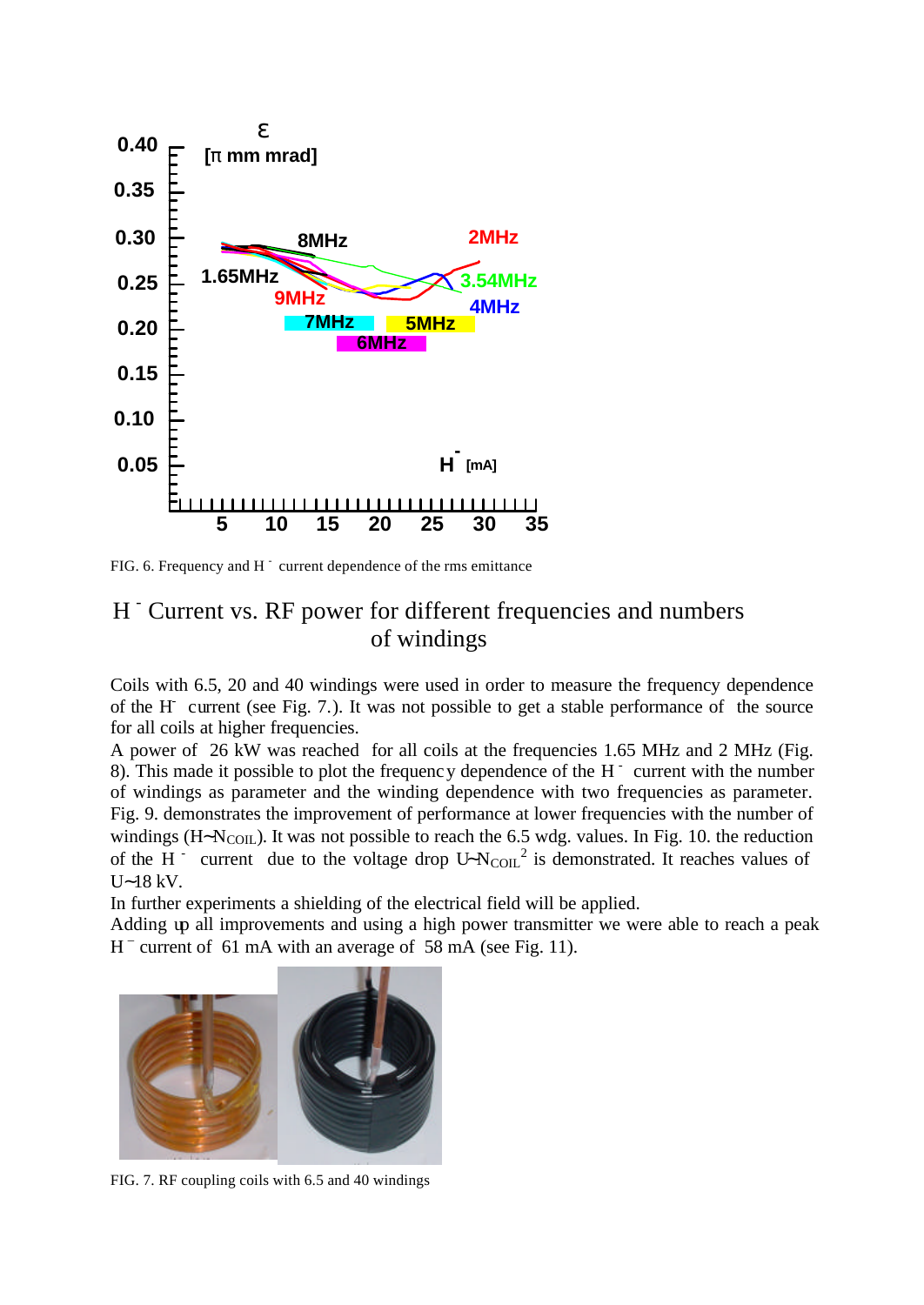

FIG. 6. Frequency and  $H^{-}$  current dependence of the rms emittance

# H <sup>-</sup> Current vs. RF power for different frequencies and numbers of windings

Coils with 6.5, 20 and 40 windings were used in order to measure the frequency dependence of the H current (see Fig. 7.). It was not possible to get a stable performance of the source for all coils at higher frequencies.

A power of 26 kW was reached for all coils at the frequencies 1.65 MHz and 2 MHz (Fig. 8). This made it possible to plot the frequency dependence of the  $H<sup>-</sup>$  current with the number of windings as parameter and the winding dependence with two frequencies as parameter. Fig. 9. demonstrates the improvement of performance at lower frequencies with the number of windings (H~N<sub>COIL</sub>). It was not possible to reach the 6.5 wdg. values. In Fig. 10. the reduction of the H <sup>-</sup> current due to the voltage drop  $U~N_{\text{COL}}^2$  is demonstrated. It reaches values of U∼18 kV.

In further experiments a shielding of the electrical field will be applied.

Adding up all improvements and using a high power transmitter we were able to reach a peak H<sup>-</sup> current of 61 mA with an average of 58 mA (see Fig. 11).



FIG. 7. RF coupling coils with 6.5 and 40 windings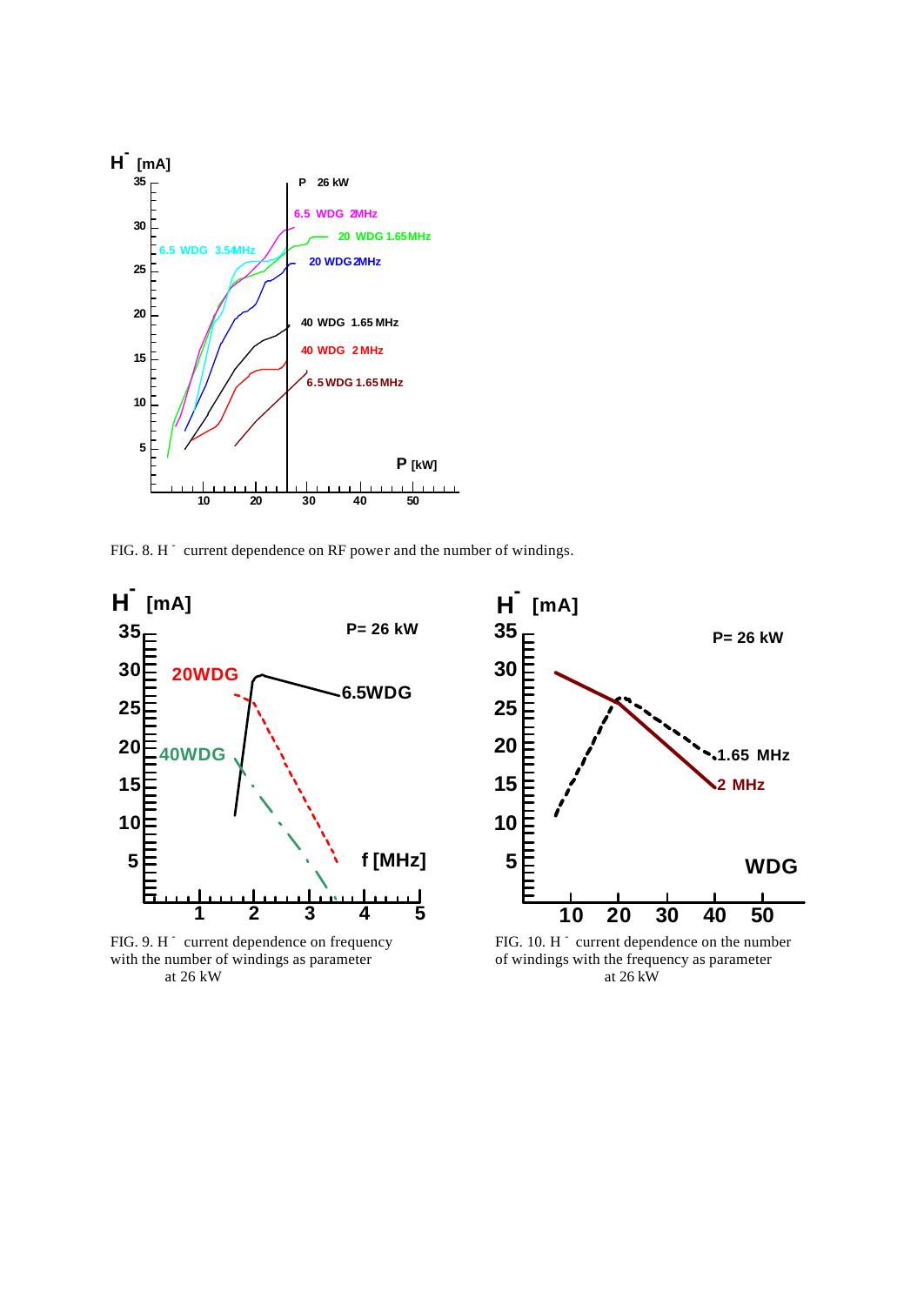

FIG. 8. H<sup>-</sup> current dependence on RF power and the number of windings.



FIG. 9. H current dependence on frequency FIG. 10. H at  $26$  kW



FIG. 10.  $H^{\dagger}$  current dependence on the number with the number of windings as parameter<br>at 26 kW<br>at 26 kW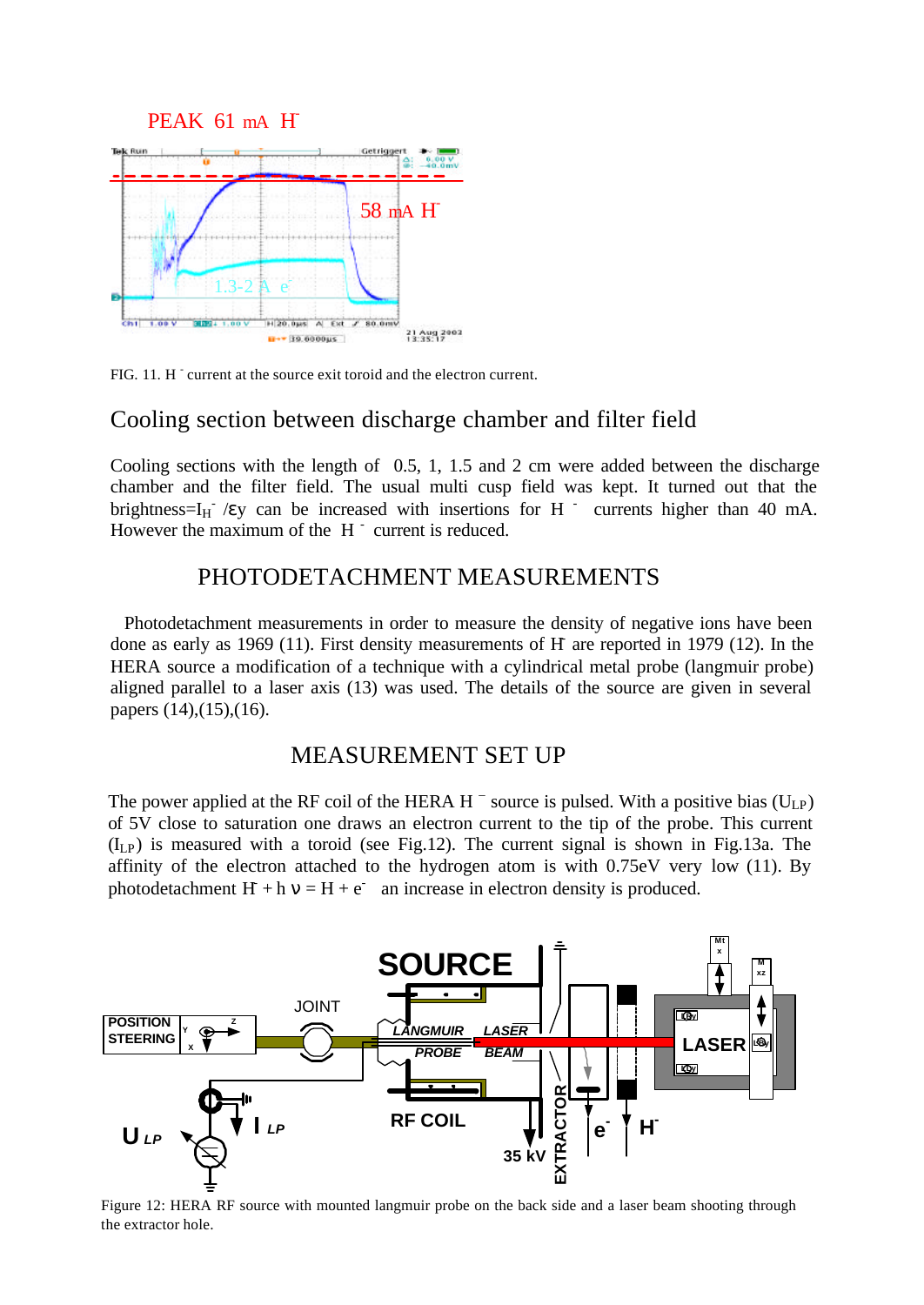



FIG. 11. H current at the source exit toroid and the electron current.

### Cooling section between discharge chamber and filter field

Cooling sections with the length of 0.5, 1, 1.5 and 2 cm were added between the discharge chamber and the filter field. The usual multi cusp field was kept. It turned out that the brightness= $I_H$  /εy can be increased with insertions for H  $\overline{I}$  currents higher than 40 mA. However the maximum of the  $H^{-}$  current is reduced.

## PHOTODETACHMENT MEASUREMENTS

Photodetachment measurements in order to measure the density of negative ions have been done as early as 1969 (11). First density measurements of H- are reported in 1979 (12). In the HERA source a modification of a technique with a cylindrical metal probe (langmuir probe) aligned parallel to a laser axis (13) was used. The details of the source are given in several papers (14),(15),(16).

### MEASUREMENT SET UP

The power applied at the RF coil of the HERA H  $^-$  source is pulsed. With a positive bias (U<sub>LP</sub>) of 5V close to saturation one draws an electron current to the tip of the probe. This current  $(I_{LP})$  is measured with a toroid (see Fig.12). The current signal is shown in Fig.13a. The affinity of the electron attached to the hydrogen atom is with 0.75eV very low (11). By photodetachment  $H + h v = H + e^-$  an increase in electron density is produced.



Figure 12: HERA RF source with mounted langmuir probe on the back side and a laser beam shooting through the extractor hole.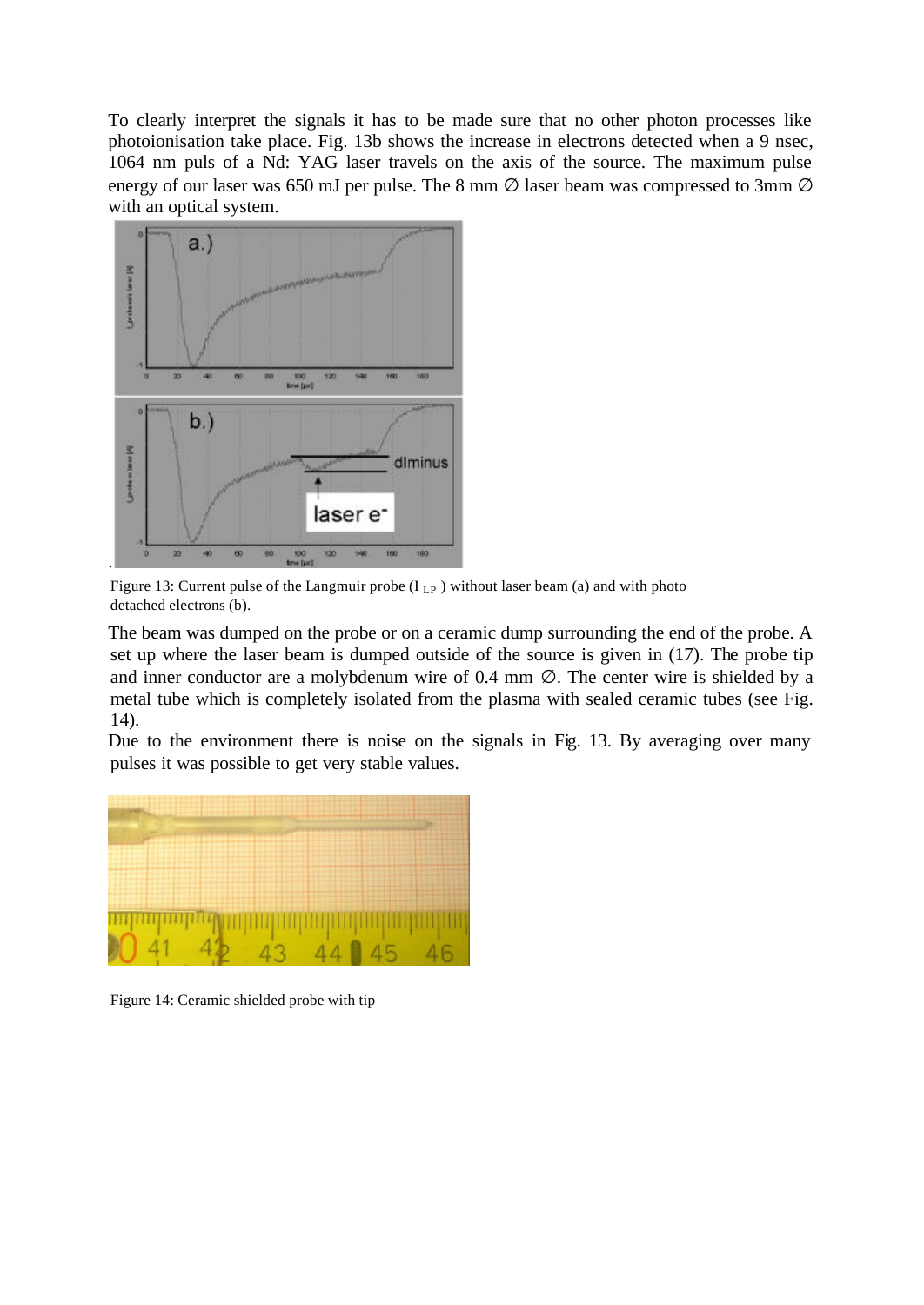To clearly interpret the signals it has to be made sure that no other photon processes like photoionisation take place. Fig. 13b shows the increase in electrons detected when a 9 nsec, 1064 nm puls of a Nd: YAG laser travels on the axis of the source. The maximum pulse energy of our laser was 650 mJ per pulse. The 8 mm  $\varnothing$  laser beam was compressed to 3mm  $\varnothing$ with an optical system.



Figure 13: Current pulse of the Langmuir probe  $(I_{LP})$  without laser beam (a) and with photo detached electrons (b).

The beam was dumped on the probe or on a ceramic dump surrounding the end of the probe. A set up where the laser beam is dumped outside of the source is given in (17). The probe tip and inner conductor are a molybdenum wire of  $0.4$  mm  $\varnothing$ . The center wire is shielded by a metal tube which is completely isolated from the plasma with sealed ceramic tubes (see Fig. 14).

Due to the environment there is noise on the signals in Fig. 13. By averaging over many pulses it was possible to get very stable values.



Figure 14: Ceramic shielded probe with tip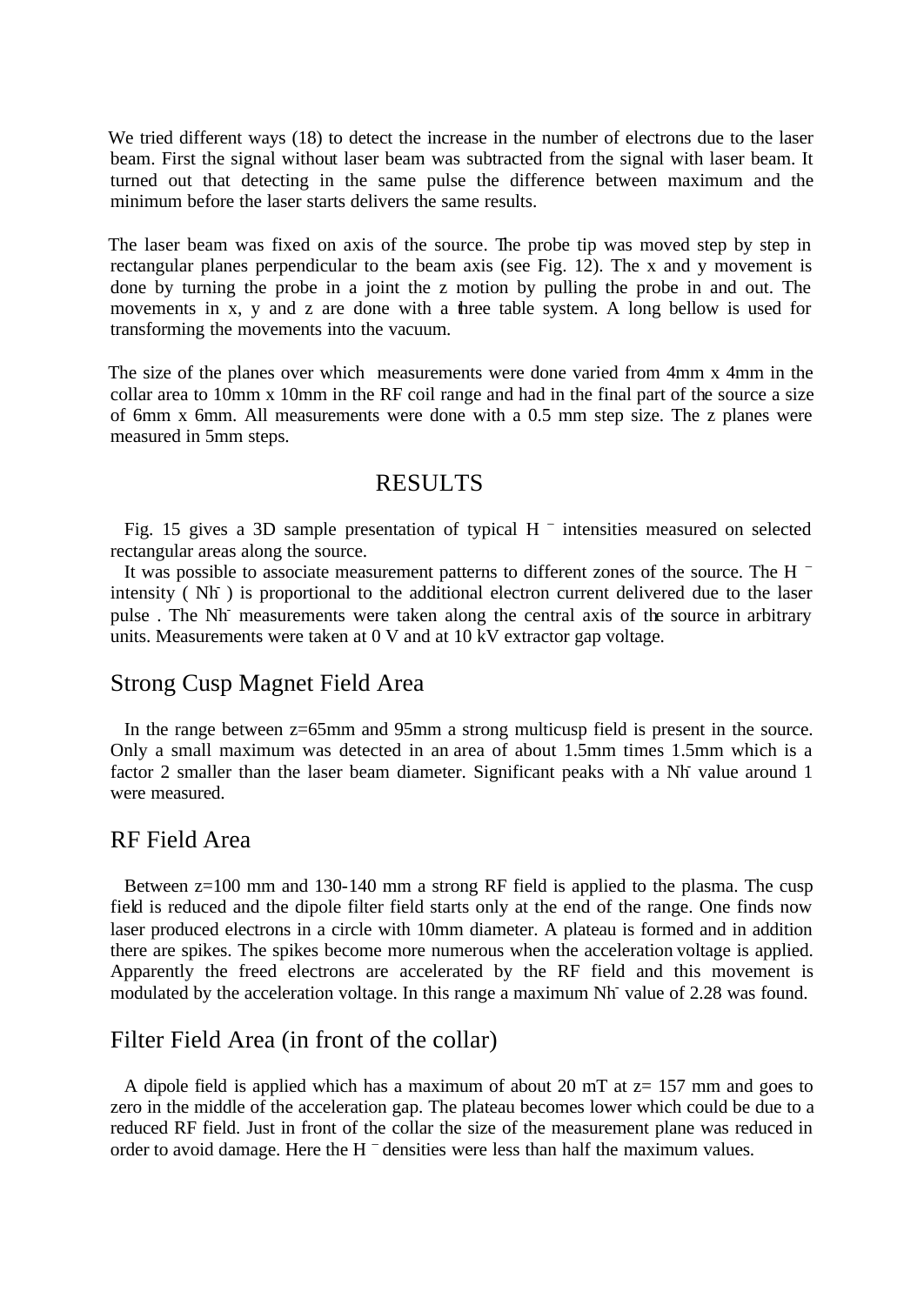We tried different ways (18) to detect the increase in the number of electrons due to the laser beam. First the signal without laser beam was subtracted from the signal with laser beam. It turned out that detecting in the same pulse the difference between maximum and the minimum before the laser starts delivers the same results.

The laser beam was fixed on axis of the source. The probe tip was moved step by step in rectangular planes perpendicular to the beam axis (see Fig. 12). The x and y movement is done by turning the probe in a joint the z motion by pulling the probe in and out. The movements in x, y and z are done with a three table system. A long bellow is used for transforming the movements into the vacuum.

The size of the planes over which measurements were done varied from 4mm x 4mm in the collar area to 10mm x 10mm in the RF coil range and had in the final part of the source a size of 6mm x 6mm. All measurements were done with a 0.5 mm step size. The z planes were measured in 5mm steps.

#### RESULTS

Fig. 15 gives a 3D sample presentation of typical H  $^-$  intensities measured on selected rectangular areas along the source.

It was possible to associate measurement patterns to different zones of the source. The H  $^{-}$ intensity (Nh ) is proportional to the additional electron current delivered due to the laser pulse . The Nh- measurements were taken along the central axis of the source in arbitrary units. Measurements were taken at 0 V and at 10 kV extractor gap voltage.

#### Strong Cusp Magnet Field Area

In the range between z=65mm and 95mm a strong multicusp field is present in the source. Only a small maximum was detected in an area of about 1.5mm times 1.5mm which is a factor 2 smaller than the laser beam diameter. Significant peaks with a Nh value around 1 were measured.

#### RF Field Area

Between z=100 mm and 130-140 mm a strong RF field is applied to the plasma. The cusp field is reduced and the dipole filter field starts only at the end of the range. One finds now laser produced electrons in a circle with 10mm diameter. A plateau is formed and in addition there are spikes. The spikes become more numerous when the acceleration voltage is applied. Apparently the freed electrons are accelerated by the RF field and this movement is modulated by the acceleration voltage. In this range a maximum Nh- value of 2.28 was found.

#### Filter Field Area (in front of the collar)

A dipole field is applied which has a maximum of about 20 mT at  $z=157$  mm and goes to zero in the middle of the acceleration gap. The plateau becomes lower which could be due to a reduced RF field. Just in front of the collar the size of the measurement plane was reduced in order to avoid damage. Here the H – densities were less than half the maximum values.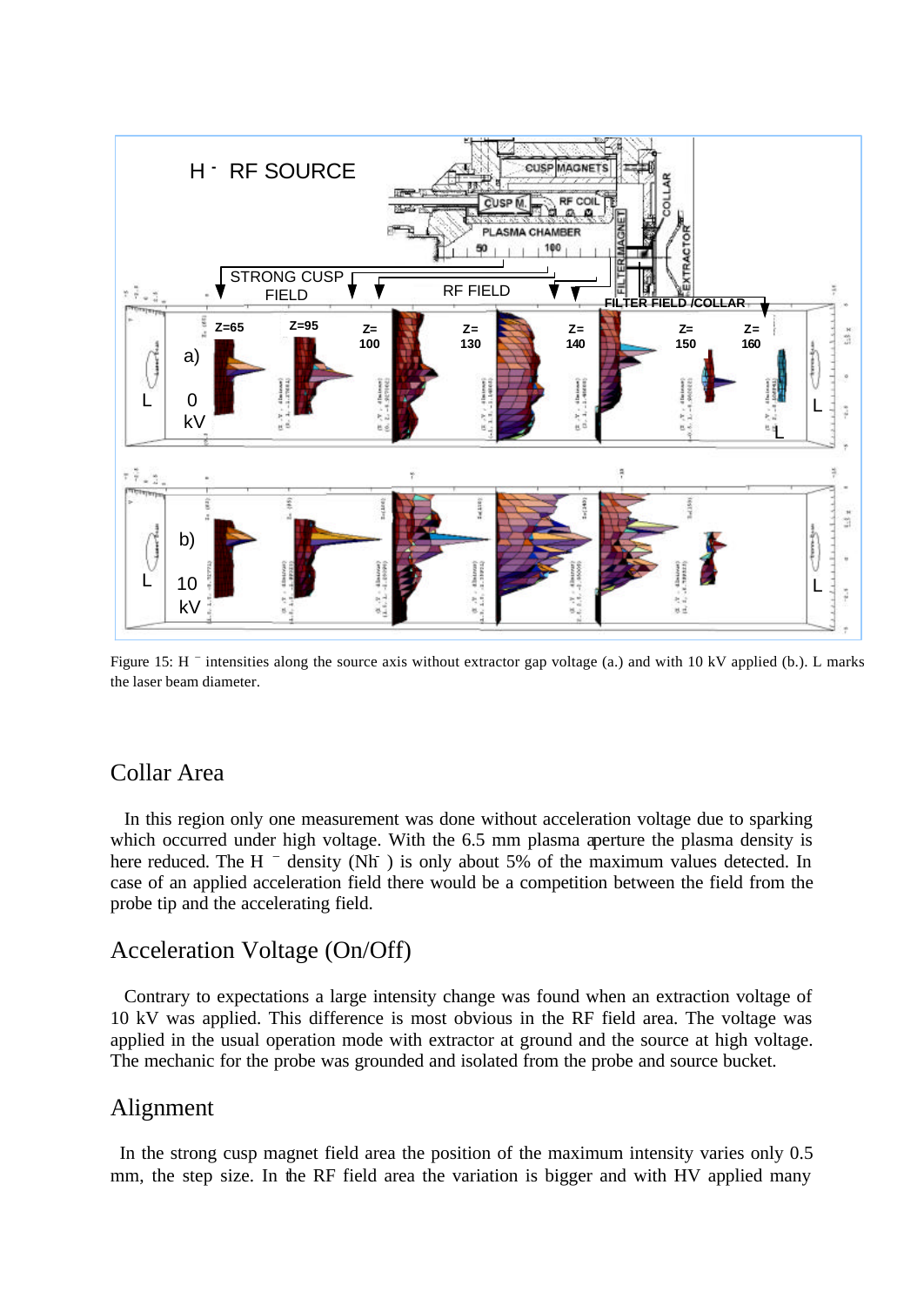

Figure 15: H <sup>-</sup> intensities along the source axis without extractor gap voltage (a.) and with 10 kV applied (b.). L marks the laser beam diameter.

#### Collar Area

In this region only one measurement was done without acceleration voltage due to sparking which occurred under high voltage. With the 6.5 mm plasma aperture the plasma density is here reduced. The H <sup>-</sup> density (Nh ) is only about 5% of the maximum values detected. In case of an applied acceleration field there would be a competition between the field from the probe tip and the accelerating field.

#### Acceleration Voltage (On/Off)

Contrary to expectations a large intensity change was found when an extraction voltage of 10 kV was applied. This difference is most obvious in the RF field area. The voltage was applied in the usual operation mode with extractor at ground and the source at high voltage. The mechanic for the probe was grounded and isolated from the probe and source bucket.

#### Alignment

In the strong cusp magnet field area the position of the maximum intensity varies only 0.5 mm, the step size. In the RF field area the variation is bigger and with HV applied many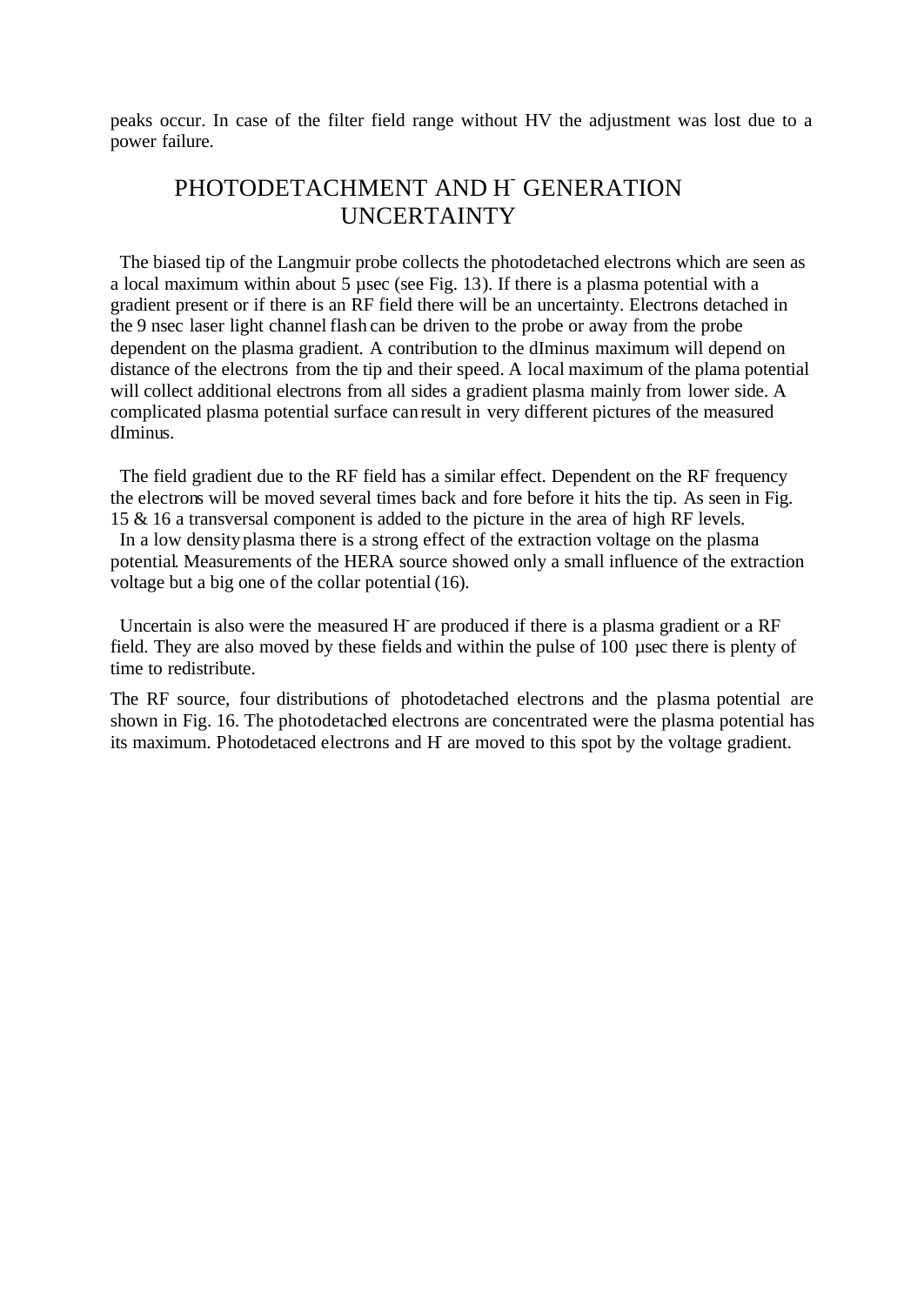peaks occur. In case of the filter field range without HV the adjustment was lost due to a power failure.

# PHOTODETACHMENT AND H- GENERATION UNCERTAINTY

The biased tip of the Langmuir probe collects the photodetached electrons which are seen as a local maximum within about 5 µsec (see Fig. 13). If there is a plasma potential with a gradient present or if there is an RF field there will be an uncertainty. Electrons detached in the 9 nsec laser light channel flash can be driven to the probe or away from the probe dependent on the plasma gradient. A contribution to the dIminus maximum will depend on distance of the electrons from the tip and their speed. A local maximum of the plama potential will collect additional electrons from all sides a gradient plasma mainly from lower side. A complicated plasma potential surface can result in very different pictures of the measured dIminus.

The field gradient due to the RF field has a similar effect. Dependent on the RF frequency the electrons will be moved several times back and fore before it hits the tip. As seen in Fig. 15 & 16 a transversal component is added to the picture in the area of high RF levels. In a low density plasma there is a strong effect of the extraction voltage on the plasma potential. Measurements of the HERA source showed only a small influence of the extraction voltage but a big one of the collar potential (16).

Uncertain is also were the measured H are produced if there is a plasma gradient or a RF field. They are also moved by these fields and within the pulse of 100 µsec there is plenty of time to redistribute.

The RF source, four distributions of photodetached electrons and the plasma potential are shown in Fig. 16. The photodetached electrons are concentrated were the plasma potential has its maximum. Photodetaced electrons and H-are moved to this spot by the voltage gradient.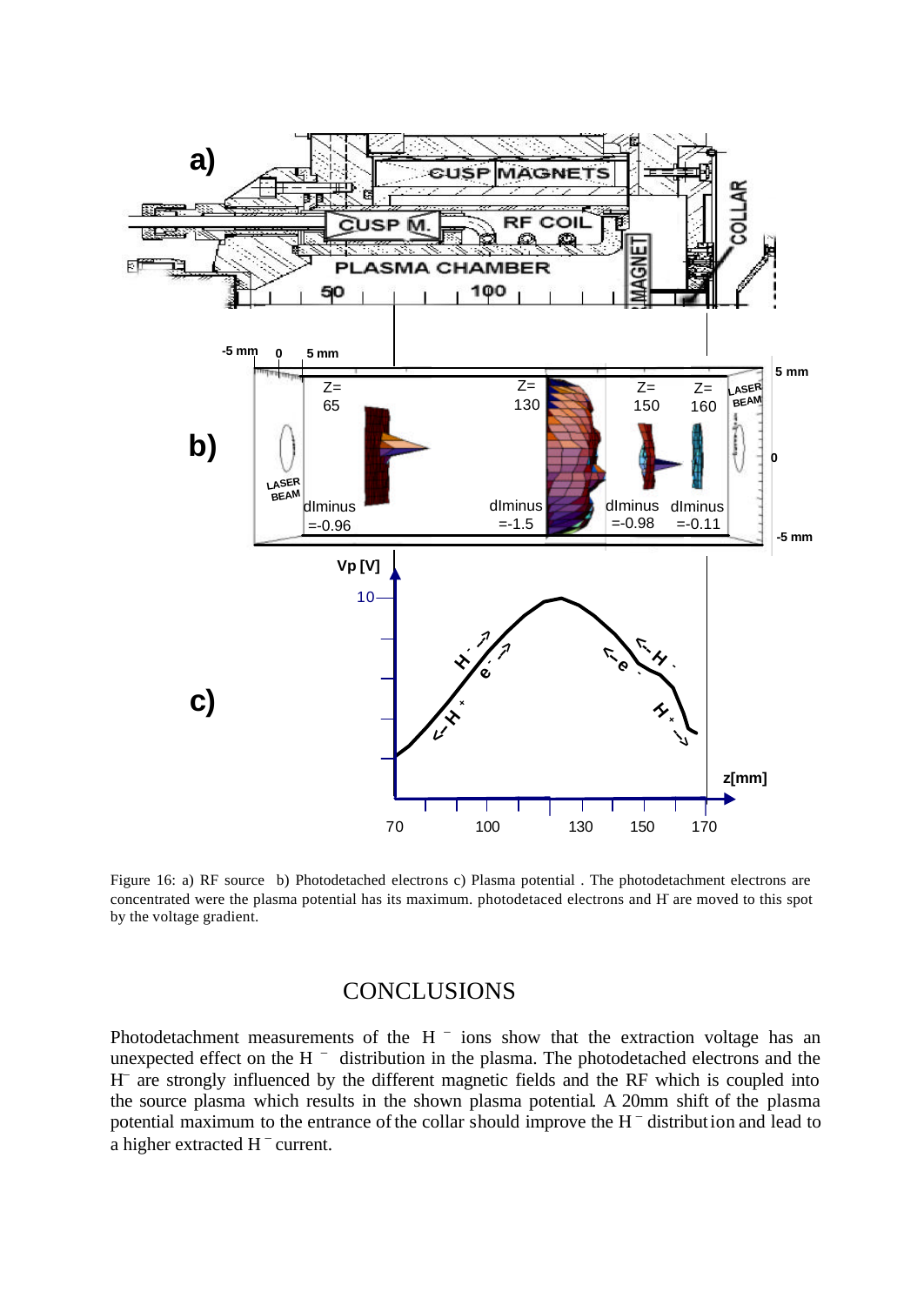

Figure 16: a) RF source b) Photodetached electrons c) Plasma potential . The photodetachment electrons are concentrated were the plasma potential has its maximum. photodetaced electrons and H-are moved to this spot by the voltage gradient.

#### **CONCLUSIONS**

Photodetachment measurements of the  $H^{-}$  ions show that the extraction voltage has an unexpected effect on the H  $^{-}$  distribution in the plasma. The photodetached electrons and the H – are strongly influenced by the different magnetic fields and the RF which is coupled into the source plasma which results in the shown plasma potential. A 20mm shift of the plasma potential maximum to the entrance of the collar should improve the H<sup>-</sup> distribution and lead to a higher extracted  $H^-$  current.